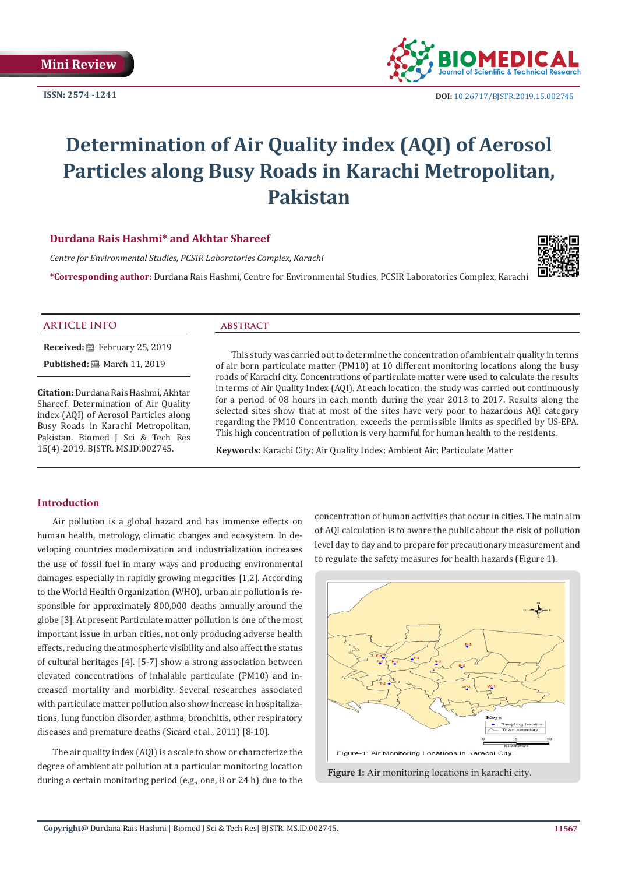**ISSN: 2574 -1241**



# **Determination of Air Quality index (AQI) of Aerosol Particles along Busy Roads in Karachi Metropolitan, Pakistan**

# **Durdana Rais Hashmi\* and Akhtar Shareef**

*Centre for Environmental Studies, PCSIR Laboratories Complex, Karachi*

**\*Corresponding author:** Durdana Rais Hashmi, Centre for Environmental Studies, PCSIR Laboratories Complex, Karachi



#### **ARTICLE INFO abstract**

**Received:** February 25, 2019 **Published:** March 11, 2019

**Citation:** Durdana Rais Hashmi, Akhtar Shareef. Determination of Air Quality index (AQI) of Aerosol Particles along Busy Roads in Karachi Metropolitan, Pakistan. Biomed J Sci & Tech Res 15(4)-2019. BJSTR. MS.ID.002745.

This study was carried out to determine the concentration of ambient air quality in terms of air born particulate matter (PM10) at 10 different monitoring locations along the busy roads of Karachi city. Concentrations of particulate matter were used to calculate the results in terms of Air Quality Index (AQI). At each location, the study was carried out continuously for a period of 08 hours in each month during the year 2013 to 2017. Results along the selected sites show that at most of the sites have very poor to hazardous AQI category regarding the PM10 Concentration, exceeds the permissible limits as specified by US-EPA. This high concentration of pollution is very harmful for human health to the residents.

**Keywords:** Karachi City; Air Quality Index; Ambient Air; Particulate Matter

# **Introduction**

Air pollution is a global hazard and has immense effects on human health, metrology, climatic changes and ecosystem. In developing countries modernization and industrialization increases the use of fossil fuel in many ways and producing environmental damages especially in rapidly growing megacities [1,2]. According to the World Health Organization (WHO), urban air pollution is responsible for approximately 800,000 deaths annually around the globe [3]. At present Particulate matter pollution is one of the most important issue in urban cities, not only producing adverse health effects, reducing the atmospheric visibility and also affect the status of cultural heritages [4]. [5-7] show a strong association between elevated concentrations of inhalable particulate (PM10) and increased mortality and morbidity. Several researches associated with particulate matter pollution also show increase in hospitalizations, lung function disorder, asthma, bronchitis, other respiratory diseases and premature deaths (Sicard et al., 2011) [8-10].

The air quality index (AQI) is a scale to show or characterize the degree of ambient air pollution at a particular monitoring location during a certain monitoring period (e.g., one, 8 or 24 h) due to the concentration of human activities that occur in cities. The main aim of AQI calculation is to aware the public about the risk of pollution level day to day and to prepare for precautionary measurement and to regulate the safety measures for health hazards (Figure 1).



**Figure 1:** Air monitoring locations in karachi city.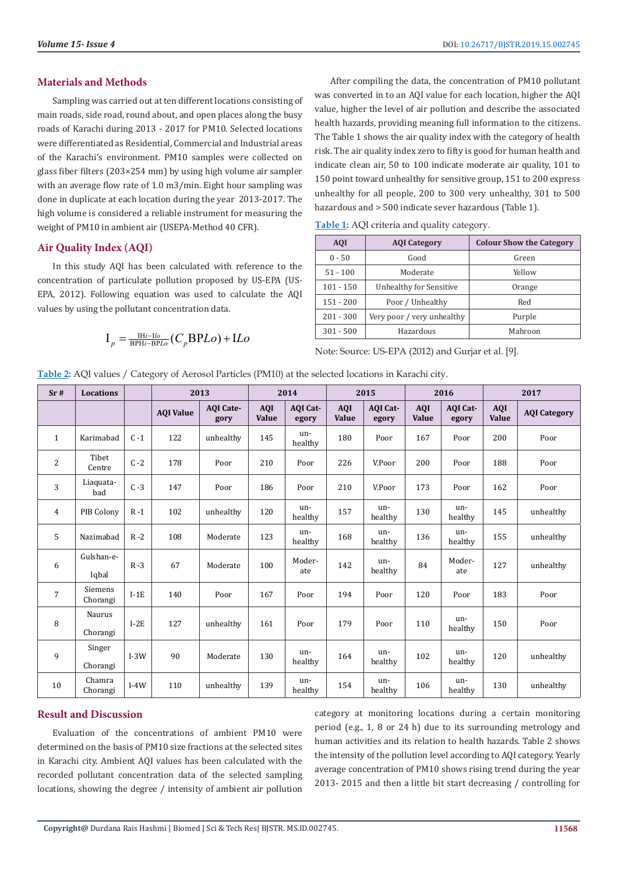# **Materials and Methods**

Sampling was carried out at ten different locations consisting of main roads, side road, round about, and open places along the busy roads of Karachi during 2013 - 2017 for PM10. Selected locations were differentiated as Residential, Commercial and Industrial areas of the Karachi's environment. PM10 samples were collected on glass fiber filters (203×254 mm) by using high volume air sampler with an average flow rate of 1.0 m3/min. Eight hour sampling was done in duplicate at each location during the year 2013-2017. The high volume is considered a reliable instrument for measuring the weight of PM10 in ambient air (USEPA-Method 40 CFR).

# **Air Quality Index (AQI)**

In this study AQI has been calculated with reference to the concentration of particulate pollution proposed by US-EPA (US-EPA, 2012). Following equation was used to calculate the AQI values by using the pollutant concentration data.

$$
I_p = \frac{IHi - Ilo}{BPHi - BPLo}(C_pBPLo) + ILo
$$

After compiling the data, the concentration of PM10 pollutant was converted in to an AQI value for each location, higher the AQI value, higher the level of air pollution and describe the associated health hazards, providing meaning full information to the citizens. The Table 1 shows the air quality index with the category of health risk. The air quality index zero to fifty is good for human health and indicate clean air, 50 to 100 indicate moderate air quality, 101 to 150 point toward unhealthy for sensitive group, 151 to 200 express unhealthy for all people, 200 to 300 very unhealthy, 301 to 500 hazardous and > 500 indicate sever hazardous (Table 1).

|  |  | Table 1: AQI criteria and quality category. |
|--|--|---------------------------------------------|
|  |  |                                             |

| <b>AOI</b>  | <b>AOI</b> Category        | <b>Colour Show the Category</b> |  |  |  |
|-------------|----------------------------|---------------------------------|--|--|--|
| $0 - 50$    | Good                       | Green                           |  |  |  |
| $51 - 100$  | Moderate                   | Yellow                          |  |  |  |
| $101 - 150$ | Unhealthy for Sensitive    | Orange                          |  |  |  |
| $151 - 200$ | Poor / Unhealthy           | Red                             |  |  |  |
| $201 - 300$ | Very poor / very unhealthy | Purple                          |  |  |  |
| $301 - 500$ | Hazardous                  | Mahroon                         |  |  |  |

Note: Source: US-EPA (2012) and Gurjar et al. [9].

**Table 2:** AQI values / Category of Aerosol Particles (PM10) at the selected locations in Karachi city.

| Sr#            | <b>Locations</b>           |         | 2013             |                          | 2014                |                   | 2015                |                   | 2016                |                          | 2017                |                     |
|----------------|----------------------------|---------|------------------|--------------------------|---------------------|-------------------|---------------------|-------------------|---------------------|--------------------------|---------------------|---------------------|
|                |                            |         | <b>AQI Value</b> | <b>AOI</b> Cate-<br>gory | <b>AOI</b><br>Value | AOI Cat-<br>egory | <b>AQI</b><br>Value | AOI Cat-<br>egory | <b>AQI</b><br>Value | <b>AOI</b> Cat-<br>egory | <b>AQI</b><br>Value | <b>AQI</b> Category |
| $\mathbf{1}$   | Karimabad                  | $C - 1$ | 122              | unhealthy                | 145                 | un-<br>healthy    | 180                 | Poor              | 167                 | Poor                     | 200                 | Poor                |
| 2              | Tibet<br>Centre            | $C - 2$ | 178              | Poor                     | 210                 | Poor              | 226                 | V.Poor            | 200                 | Poor                     | 188                 | Poor                |
| 3              | Liaquata-<br>bad           | $C - 3$ | 147              | Poor                     | 186                 | Poor              | 210                 | V.Poor            | 173                 | Poor                     | 162                 | Poor                |
| $\overline{4}$ | PIB Colony                 | $R - 1$ | 102              | unhealthy                | 120                 | un-<br>healthy    | 157                 | un-<br>healthy    | 130                 | un-<br>healthy           | 145                 | unhealthy           |
| 5              | Nazimabad                  | $R - 2$ | 108              | Moderate                 | 123                 | un-<br>healthy    | 168                 | un-<br>healthy    | 136                 | un-<br>healthy           | 155                 | unhealthy           |
| 6              | Gulshan-e-<br>Iqbal        | $R - 3$ | 67               | Moderate                 | 100                 | Moder-<br>ate     | 142                 | un-<br>healthy    | 84                  | Moder-<br>ate            | 127                 | unhealthy           |
| $\overline{7}$ | <b>Siemens</b><br>Chorangi | $I-1E$  | 140              | Poor                     | 167                 | Poor              | 194                 | Poor              | 120                 | Poor                     | 183                 | Poor                |
| 8              | Naurus<br>Chorangi         | $I-2E$  | 127              | unhealthy                | 161                 | Poor              | 179                 | Poor              | 110                 | un-<br>healthy           | 150                 | Poor                |
| 9              | Singer<br>Chorangi         | $I-3W$  | 90               | Moderate                 | 130                 | un-<br>healthy    | 164                 | un-<br>healthy    | 102                 | un-<br>healthy           | 120                 | unhealthy           |
| 10             | Chamra<br>Chorangi         | $I-4W$  | 110              | unhealthy                | 139                 | un-<br>healthy    | 154                 | un-<br>healthy    | 106                 | un-<br>healthy           | 130                 | unhealthy           |

# **Result and Discussion**

Evaluation of the concentrations of ambient PM10 were determined on the basis of PM10 size fractions at the selected sites in Karachi city. Ambient AQI values has been calculated with the recorded pollutant concentration data of the selected sampling locations, showing the degree / intensity of ambient air pollution category at monitoring locations during a certain monitoring period (e.g., 1, 8 or 24 h) due to its surrounding metrology and human activities and its relation to health hazards. Table 2 shows the intensity of the pollution level according to AQI category. Yearly average concentration of PM10 shows rising trend during the year 2013- 2015 and then a little bit start decreasing / controlling for